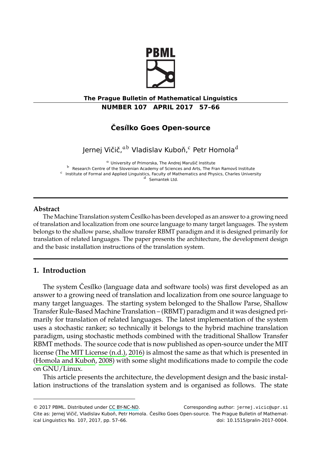

## **The Prague Bulletin of Mathematical Linguistics NUMBER 107 APRIL 2017 57–66**

#### **Česílko Goes Open-source**

Jernej Vičič,<sup>ab</sup> Vladislav Kuboň,<sup>c</sup> Petr Homola<sup>d</sup>

<sup>a</sup> University of Primorska, The Andrej Marušič Institute

<sup>b</sup> Research Centre of the Slovenian Academy of Sciences and Arts, The Fran Ramovš Institute c Institute of Formal and Applied Linguistics, Faculty of Mathematics and Physics, Charles University <sup>d</sup> Semantek Ltd.

# **Abstract**

The Machine Translation system Česílko has been developed as an answer to a growing need of translation and localization from one source language to many target languages. The system belongs to the shallow parse, shallow transfer RBMT paradigm and it is designed primarily for translation of related languages. The paper presents the architecture, the development design and the basic installation instructions of the translation system.

## **1. Intr[oduction](#page-9-0)**

[The system Česílko \(lan](#page-8-0)guage data and software tools) was first developed as an answer to a growing need of translation and localization from one source language to many target languages. The starting system belonged to the Shallow Parse, Shallow Transfer Rule-Based Machine Translation – (RBMT) paradigm and it was designed primarily for translation of related languages. The latest implementation of the system uses a stochastic ranker; [so technic](http://creativecommons.org/licenses/by-nc-nd/3.0/)ally it belongs to the hybrid machine translation paradigm, using stochastic methods combined with the traditional Shallow Transfer RBMT methods. The source code that is now published as open-source under the MIT license (The MIT License (n.d.), 2016) is almost the same as that which is presented in (Homola and Kuboň, 2008) with some slight modifications made to compile the code on GNU/Linux.

This article presents the architecture, the development design and the basic installation instructions of the translation system and is organised as follows. The state

<sup>© 2017</sup> PBML. Distributed under CC BY-NC-ND. Corresponding author: jernej.vicic@upr.si Cite as: Jernej Vičič, Vladislav Kuboň, Petr Homola. Česílko Goes Open-source. The Prague Bulletin of Mathematical Linguistics No. 107, 2017, pp. 57-66.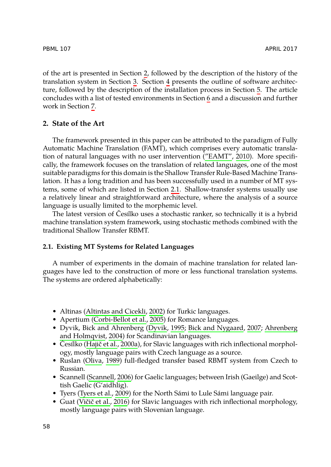of the art is presented in Section 2, followed by the description of the history of the translation system in Section 3. Section 4 presents t[he outline of sof](#page-8-1)tware architecture, followed by the description of the installation process in Section 5. The article concludes with a list of tested environments in Section 6 and a discussion and further work in Section 7.

## **2. State of the Art**

The framework presented in this paper can be attributed to the paradigm of Fully Automatic Machine Translation (FAMT), which comprises every automatic translation of natural languages with no user intervention ("EAMT", 2010). More specifically, the framework focuses on the translation of related languages, one of the most suitable paradigms for this domain is the Shallow Transfer Rule-Based Machine Translation. It has a long tradition and has been successfully used in a number of MT systems, some of which are listed in Section 2.1. Shallow-transfer systems usually use a relatively linear and straightforward architecture, where the analysis of a source language is usually limited to the morphemic level.

The latest version of Česílko uses a stochastic ranker, so technically it is a hybrid machine translation system framework, using stochastic methods combined with the traditional Sh[allow Transfer RBMT.](#page-7-0)

#### **2.1. Existing M[T Systems for Rel](#page-8-2)[ated Languag](#page-8-3)[es](#page-8-4)**

A [number](#page-7-1) [of experi](#page-8-5)[m](#page-7-1)[ents in](#page-8-5) the domain of machine translation for related languages have led to the construction of more or less functional translation systems. The systems a[re ordered a](#page-9-1)lphabetically:

- Altinas (Altintas and Cicekli, 2002) for Turkic languages.
- Aperti[um \(Corbi-Bellot](#page-9-2) et al., 2005) for Romance languages.
- Dyvik[, Bick and](#page-9-3) [Ahren](#page-9-3)berg (Dyvik, 1995; Bick and Nygaard, 2007; Ahrenberg and Holmqvist, 2004) for Scandinavian languages.
- Česílko (Hajič et al., 2000a), for Slavic languages with rich inflectional morphology, mostly language pairs with Czech language as a source.
- Ruslan (Oliva, 1989) full-fledged transfer based RBMT system from Czech to Russian.
- Scannell (Scannell, 2006) for Gaelic languages; between Irish (Gaeilge) and Scottish Gaelic (G'aidhlig).
- Tyers (Tyers et al., 2009) for the North Sámi to Lule Sámi language pair.
- Guat (Vičič et al., 2016) for Slavic languages with rich inflectional morphology, mostly language pairs with Slovenian language.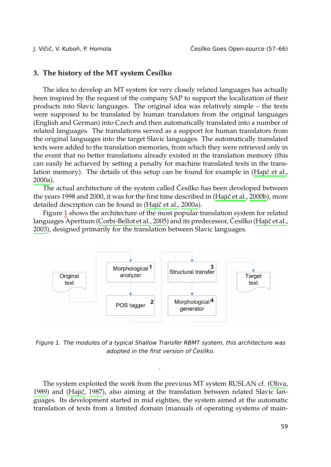# **3. The history of the MT system Česílko**

The idea to develop an MT system for very closely related languages has actually been inspired by the request of the company SAP to support the localiza[tion of their](#page-8-5) [produ](#page-8-5)cts into Slavic languages. The original idea was relatively simple – the texts were supposed to be translated by human translators from the original languages (English and German) into Czech and then automatically tra[nslated into a num](#page-8-6)ber of related languages. The translations s[erved as a](#page-8-5) [suppor](#page-8-5)t for human translators from the origin[al](#page-2-0) languages into the target Slavic languages. The automatically translated texts were added to t[he translation memories](#page-8-2), from which they were retrie[ved only in](#page-8-7) [the e](#page-8-7)vent that no better translations already existed in the translation memory (this can easily be achieved by setting a penalty for machine translated texts in the translation memory). The details of this setup can be found for example in (Hajič et al., 2000a).

The actual architecture of the system called Česílko has been developed between the years 1998 and 2000, it was for the first time described in (Hajič et al., 2000b), more detailed description can be found in (Hajič et al., 2000a).

Figure 1 shows the architecture of the most popular translation system for related languages Apertium (Corbi-Bellot et al., 2005) and its predecessor, Česílko (Hajič et al., 2003), designed primarily for the translation between Slavic languages.

<span id="page-2-0"></span>

*Figure 1. The modules of a typical Shallow Transfer RBMT system, this architecture was adopted in the first version of Česílko.*

.

The system exploited the work from the previous MT system RUSLAN cf. (Oliva, 1989) and (Hajič, 1987), also aiming at the translation between related Slavic languages. Its development started in mid eighties, the system aimed at the automatic translation of texts from a limited domain (manuals of operating systems of main-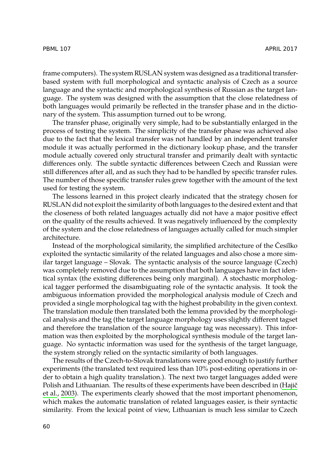frame computers). The system RUSLAN system was designed as a traditional transferbased system with full morphological and syntactic analysis of Czech as a source language and the syntactic and morphological synthesis of Russian as the target language. The system was designed with the assumption that the close relatedness of both languages would primarily be reflected in the transfer phase and in the dictionary of the system. This assumption turned out to be wrong.

The transfer phase, originally very simple, had to be substantially enlarged in the process of testing the system. The simplicity of the transfer phase was achieved also due to the fact that the lexical transfer was not handled by an independent transfer module it was actually performed in the dictionary lookup phase, and the transfer module actually covered only structural transfer and primarily dealt with syntactic differences only. The subtle syntactic differences between Czech and Russian were still differences after all, and as such they had to be handled by specific transfer rules. The number of those specific transfer rules grew together with the amount of the text used for testing the system.

The lessons learned in this project clearly indicated that the strategy chosen for RUSLAN did not exploit the similarity of both languages to the desired extent and that the closeness of both related languages actually did not have a major positive effect on the quality of the results achieved. It was negatively influenced by the complexity of the system and the close relatedness of languages actually called for much simpler architecture.

Instead of the morphological similarity, the simplified architecture of the Česílko exploited the syntactic similarity of the related languages and also chose a more similar target language – Slovak. The syntactic analysis of the source language (Czech) was completely removed due to the assumption that both languages have in fact identical syntax (the existing differences being only marginal). A stochastic morphological tagger performed the disambiguating role of the syntactic analysis. It took the ambiguous information provided the morphological analysis module of Czech and provided a single morphological tag with the highest probability in the given context. The translation module then translated both the lemma provided by the morph[ologi](#page-8-7)[cal analysis](#page-8-7) and the tag (the target language morphology uses slightly different tagset and therefore the translation of the source language tag was necessary). This information was then exploited by the morphological synthesis module of the target language. No syntactic information was used for the synthesis of the target language, the system strongly relied on the syntactic similarity of both languages.

The results of the Czech-to-Slovak translations were good enough to justify further experiments (the translated text required less than 10% post-editing operations in order to obtain a high quality translation.). The next two target languages added were Polish and Lithuanian. The results of these experiments have been described in (Hajič et al., 2003). The experiments clearly showed that the most important phenomenon, which makes the automatic translation of related languages easier, is their syntactic similarity. From the lexical point of view, Lithuanian is much less similar to Czech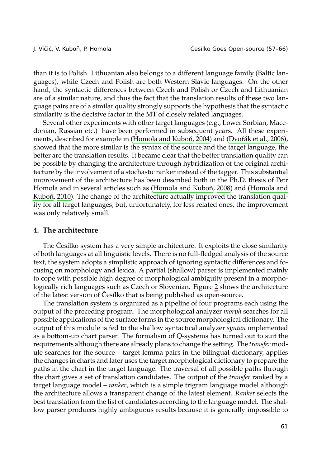than it is to Polish. Lithuanian also belongs to a different language family (Baltic languages), while Czech and Polish are both Western Slavic languages. On the other hand, the syntactic differences between Czech and Polish or Czech and Lithuanian are of a similar nature, and thus the fact that the translation results of these two language pairs are of a similar quality strongly supports the hypothesis that [the syntactic](#page-8-8) [similar](#page-8-8)ity is the decisive factor in the M[T of closely related langua](#page-8-0)ges.

Seve[ral ot](#page-8-8)her experiments with other target languages (e.g., Lower Sorbian, Macedonian, Russian etc.) have been performed in subsequent years. All these experiments, described for example in (Homola and Kuboň, 2004) and (Dvořák et al., 2006), showed that the more similar is the syntax of the source and the target language, the better are the translation results. It became clear that the better translation quality can be possible by changing the architecture through hybridization of the original architecture by the involvement of a stochastic ranker instead of the tagger. This substantial improvement of the architecture has been described both in the Ph.D. thesis of Petr Homola and in several articles such as (Homola and Kuboň, 2008) and (Homola and Kuboň, 2010). The change of the architecture actually improved the translation quality for all target languages, but, unfortunately, for less relate[d](#page-5-0) ones, the improvement was only relatively small.

## **4. The architecture**

The Česílko system has a very simple architecture. It exploits the close similarity of both languages at all linguistic levels. There is no full-fledged analysis of the source text, the system adopts a simplistic approach of ignoring syntactic differences and focusing on morphology and lexica. A partial (shallow) parser is implemented mainly to cope with possible high degree of morphological ambiguity present in a morphologically rich languages such as Czech or Slovenian. Figure 2 shows the architecture of the latest version of Česílko that is being published as open-source.

The translation system is organized as a pipeline of four programs each using the output of the preceding program. The morphological analyzer *morph* searches for all possible applications of the surface forms in the source morphological dictionary. The output of this module is fed to the shallow syntactical analyzer *syntan* implemented as a bottom-up chart parser. The formalism of Q-systems has turned out to suit the requirements although there are already plans to change the setting. The *transfer* module searches for the source – target lemma pairs in the bilingual dictionary, applies the changes in charts and later uses the target morphological dictionary to prepare the paths in the chart in the target language. The traversal of all possible paths through the chart gives a set of translation candidates. The output of the *transfer* ranked by a target language model – *ranker*, which is a simple trigram language model although the architecture allows a transparent change of the latest element. *Ranker* selects the best translation from the list of candidates according to the language model. The shallow parser produces highly ambiguous results because it is generally impossible to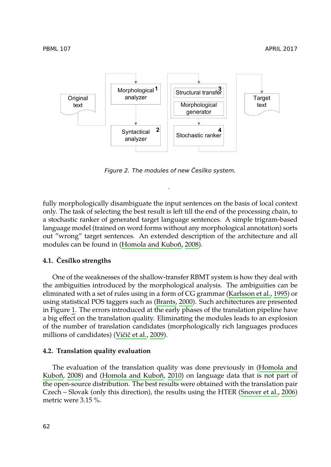

<span id="page-5-0"></span>*Figure 2. [The modules of new Če](#page-8-0)sílko system.*

.

fully morphologically disambiguate the input sentences on the basis of local context only. The task of selecting the best result is left till the end of the processing chain, to a stochastic ranker of generated target language sentences. [A simple trigram-bas](#page-8-9)ed language model (trained on word for[ms without an](#page-8-10)y morphological annotation) sorts out "wro[ng](#page-2-0)" target sentences. An extended description of the architecture and all modules can be found in (Homola and Kuboň, 2008).

#### **4.1. Česílko strengths**

One of the weaknesses of the shallow-transfer RBMT system is how they deal with the ambiguities introduced by the morphological analysis. The ambi[guities can be](#page-8-0) eliminated with a set of rules using in a fo[rm o](#page-8-8)f CG grammar (Karlsson et al., 1995) or [using s](#page-8-0)t[atisti](#page-8-0)cal PO[S taggers such as \(Bra](#page-8-8)nts, 2000). Such architectures are presented in Figure 1. The errors introduced at the early phases of the translation pipeline have a big effect on the translation quality. Eliminating the modules le[ads to an exp](#page-9-4)l[osion](#page-9-4) of the number of translation candidates (morphologically rich languages produces millions of candidates) (Vičič et al., 2009).

#### **4.2. Translation quality evaluation**

The evaluation of the translation quality was done previously in (Homola and Kuboň, 2008) and (Homola and Kuboň, 2010) on language data that is not part of the open-source distribution. The best results were obtained with the translation pair Czech – Slovak (only this direction), the results using the HTER (Snover et al., 2006) metric were 3.15 %.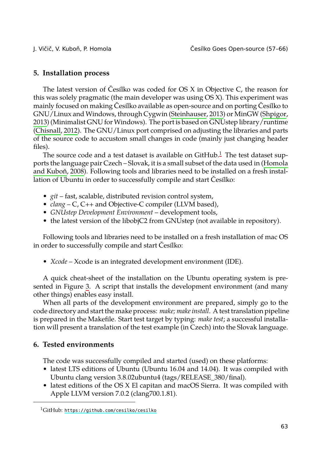#### **5. Installation process**

The latest version of Česílko was coded for OS X in Objective C, the re[ason for](#page-8-0) [this was solely pr](#page-8-0)agmatic (the main developer was using OS X). This experiment was mainly focused on making Česílko available as open-source and on porting Česílko to GNU/Linux and Windows, through Cygwin (Steinhauser, 2013) or MinGW (Shpigor, 2013) (Minimalist GNU for Windows). The port is based on GNUstep library/runtime (Chisnall, 2012). The GNU/Linux port comprised on adjusting the libraries and parts of the source code to accustom small changes in code (mainly just changing header files).

The source code and a test dataset is available on  $G$ itHub.<sup>1</sup> The test dataset supports the language pair Czech – Slovak, it is a small subset of the data used in (Homola and Kuboň, 2008). Following tools and libraries need to be installed on a fresh installation of Ubuntu in order to successfully compile and start Česílko:

- *git* fast, scalable, distributed revision control system,
- *clang* C, C++ and Objective-C compiler (LLVM based),
- *GNUstep D[ev](#page-7-2)elopment Environment* development tools,
- the latest version of the libobjC2 from GNUstep (not available in repository).

Following tools and libraries need to be installed on a fresh installation of mac OS in order to successfully compile and start Česílko:

• *Xcode* – Xcode is an integrated development environment (IDE).

A quick cheat-sheet of the installation on the Ubuntu operating system is presented in Figure 3. A script that installs the development environment (and many other things) enables easy install.

When all parts of the development environment are prepared, simply go to the code directory and start the make process: *make; make install*. A test translation pipeline is prepared in the Makefile. Start test target by typing: *make test*; a successful installation will present a translation of the test example (in Czech) into the Slovak language.

#### **6. Tested environments**

The code was successfully compiled and started (used) on these platforms:

- latest LTS editions of Ubuntu (Ubuntu 16.04 and 14.04). It was compiled with Ubuntu clang version 3.8.02ubuntu4 (tags/RELEASE\_380/final).
- latest editions of the OS X El capitan and macOS Sierra. It was compiled with Apple LLVM version 7.0.2 (clang700.1.81).

<sup>1</sup>GitHub: https://github.com/cesilko/cesilko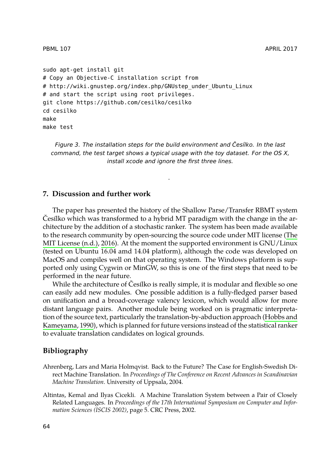```
sudo apt-get install git
# Copy an Objective-C installation script from
# http://wiki.gnustep.org/index.php/GNUstep_under_Ubuntu_Linux
# and start the script using root privileges.
git clone https://github.com/cesilko/cesilko
cd cesilko
make
make test
```
*Figure 3. The installation steps for the build environment and Česílko. In the last command, the test target shows a typical usage with the toy dataset. For the OS [X,](#page-9-0) [ins](#page-9-0)tall xcode and ignore the first three lines.*

.

## **7. Discussion and further work**

The paper has presented the history of the Shallow Parse/Transfer RBMT system Česílko which was transformed to a hybrid MT paradigm with the change in the architecture by the addition of a stochastic ranker. The system has been made available to the research community by open-sourcing the source code under MIT license (The MIT License (n.d.), 2016). At the moment the supported environment is G[NU/Linux](#page-8-12) [\(tested on Ubunt](#page-8-12)u 16.04 amd 14.04 platform), although the code was developed on MacOS and compiles well on that operating system. The Windows platform is supported only using Cygwin or MinGW, so this is one of the first steps that need to be performed in the near future.

<span id="page-7-1"></span><span id="page-7-0"></span>While the architecture of Česílko is really simple, it is modular and flexible so one can easily add new modules. One possible addition is a fully-fledged parser based on unification and a broad-coverage valency lexicon, which would allow for more distant language pairs. Another module being worked on is pragmatic interpretation of the source text, particularly the translation-by-abduction approach (Hobbs and Kameyama, 1990), which is planned for future versions instead of the statistical ranker to evaluate translation candidates on logical grounds.

### **Bibliography**

- Ahrenberg, Lars and Maria Holmqvist. Back to the Future? The Case for English-Swedish Direct Machine Translation. In *Proceedings of The Conference on Recent Advances in Scandinavian Machine Translation*. University of Uppsala, 2004.
- Altintas, Kemal and Ilyas Cicekli. A Machine Translation System between a Pair of Closely Related Languages. In *Proceedings of the 17th International Symposium on Computer and Information Sciences (ISCIS 2002)*, page 5. CRC Press, 2002.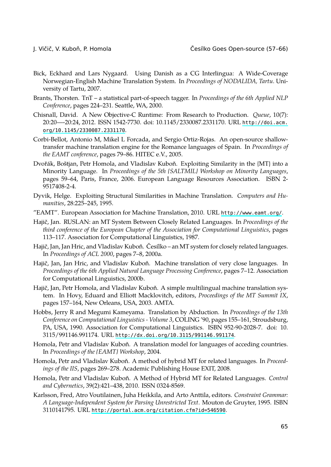<span id="page-8-11"></span><span id="page-8-10"></span><span id="page-8-4"></span><span id="page-8-2"></span>

- Bick, Eckhard and Lars Nygaard. Using Danish as a CG Interlingua: A Wide-Coverage Norwegian-English Machine Translation System. In *Proceedings of NODALIDA, Tartu*. University of Tartu, 2007.
- Brants, Thorsten. TnT a statistical part-of-speech tagger. In *Proceedings of the 6th Applied NLP Conference*, pages 224–231. Seattle, WA, 2000.
- <span id="page-8-3"></span>Chisnall, David. A New Objective-C Runtime: From Research to Production. *Queue*, 10(7): 20:20—-20:24, 2012. ISSN 1542-7730. doi: 10.1145/2330087.2331170. URL http://doi.acm. org/10.1145/2330087.2331170.
- <span id="page-8-1"></span>Corbi-Bellot, Antonio M, Mikel L Forcada, and Sergio Ortiz-Rojas. [An open-source shallow](http://www.eamt.org/)transfer machine translation engine for the Romance languages of Spain. In *Proceedings of the EAMT conference*, pages 79–86. HITEC e.V., 2005.
- <span id="page-8-5"></span>Dvořák, Boštjan, Petr Homola, and Vladislav Kuboň. Exploiting Similarity in the {MT} into a Minority Language. In *Proceedings of the 5th {SALTMIL} Workshop on Minority Languages*, pages 59–64, Paris, France, 2006. European Language Resources Association. ISBN 2- 9517408-2-4.
- <span id="page-8-6"></span>Dyvik, Helge. Exploiting Structural Similarities in Machine Translation. *Computers and Humanities*, 28:225–245, 1995.
- <span id="page-8-7"></span>"EAMT". European Association for Machine Translation, 2010. URL http://www.eamt.org/.
- <span id="page-8-12"></span>Hajič, Jan. RUSLAN: an MT System Between Closely Related Languages. In *Proceedings of the third conference of the European Chapter of the Association for Computational Linguistics*, pages 113–117. Association for Computational Linguistics, 1987.
- Hajič, Jan, Jan Hric, and Vladislav Kuboň. Česílko an MT system for closely related languages. In *Proceedings of ACL 2000*, pages 7–8, 2000a.
- Hajič, Jan, Jan Hric, and Vla[dislav Kuboň. Machine translation of very c](http://dx.doi.org/10.3115/991146.991174)lose languages. In *Proceedings of the 6th Applied Natural Language Processing Conference*, pages 7–12. Association for Computational Linguistics, 2000b.
- <span id="page-8-8"></span><span id="page-8-0"></span>Hajič, Jan, Petr Homola, and Vladislav Kuboň. A simple multilingual machine translation system. In Hovy, Eduard and Elliott Macklovitch, editors, *Proceedings of the MT Summit IX*, pages 157–164, New Orleans, USA, 2003. AMTA.
- <span id="page-8-9"></span>Hobbs, Jerry R and Megumi Kameyama. Translation by Abduction. In *Proceedings of the 13th Conference on Computational Linguistics - Volume 3*, COLING '90, pages 155–161, Stroudsburg, PA, USA, 1990. Association for Computational Linguistics. ISBN 952-90-2028-7. doi: 10. 3115/991146.991174. URL [http://dx.doi.org/10.3115/991146.9911](http://portal.acm.org/citation.cfm?id=546590)74.
- Homola, Petr and Vladislav Kuboň. A translation model for languages of acceding countries. In *Proceedings of the {EAMT} Workshop*, 2004.
- Homola, Petr and Vladislav Kuboň. A method of hybrid MT for related languages. In *Proceedings of the IIS*, pages 269–278. Academic Publishing House EXIT, 2008.
- Homola, Petr and Vladislav Kuboň. A Method of Hybrid MT for Related Languages. *Control and Cybernetics*, 39(2):421–438, 2010. ISSN 0324-8569.
- Karlsson, Fred, Atro Voutilainen, Juha Heikkila, and Arto Anttila, editors. *Constraint Grammar: A Language-Independent System for Parsing Unrestricted Text*. Mouton de Gruyter, 1995. ISBN 3110141795. URL http://portal.acm.org/citation.cfm?id=546590.